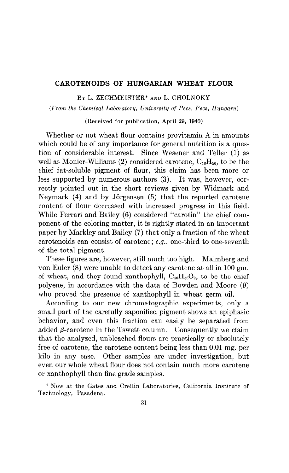### CAROTENOIDS OF HUNGARIAN WHEAT FLOUR

BY L. ZECHMEISTER\* AND L. CHOLNOKY

(From the Chemical Laboratory, University of Pecs, Pecs, Hungary)

(Received for publication, April 29, 1940)

Whether or not wheat flour contains provitamin A in amounts which could be of any importance for general nutrition is a question of considerable interest. Since Wesener and Teller (1) as well as Monier-Williams (2) considered carotene,  $C_{40}H_{56}$ , to be the chief fat-soluble pigment of flour, this claim has been more or less supported by numerous authors (3). It was, however, correctly pointed out in the short reviews given by Widmark and Neymark  $(4)$  and by Jörgensen  $(5)$  that the reported carotene content of flour decreased with increased progress in this field. While Ferrari and Bailey (6) considered "carotin" the chief component of the coloring matter, it is rightly stated in an important paper by Markley and Bailey (7) that only a fraction of the wheat carotenoids can consist of carotene; e.g., one-third to one-seventh of the total pigment.

These figures are, however, still much too high. Malmberg and von Euler (8) were unable to detect any carotene at all in 100 gm. of wheat, and they found xanthophyll,  $C_{40}H_{50}O_2$ , to be the chief polyene, in accordance with the data of Bowden and Moore (9) who proved the presence of xanthophyll in wheat germ oil.

According to our new chromatographic experiments, only a small part of the carefully saponified pigment shows an epiphasic behavior, and even this fraction can easily be separated from added  $\beta$ -carotene in the Tswett column. Consequently we claim that the analyzed, unbleached flours are practically or absolutely free of carotene, the carotene content being less than 0.01 mg. per kilo in any case. Other samples are under investigation, but even our whole wheat flour does not contain much more carotene or xanthophyll than fine grade samples.

\* Now at the Gates and Crellin Laboratories, California Institute of Technology, Pasadena.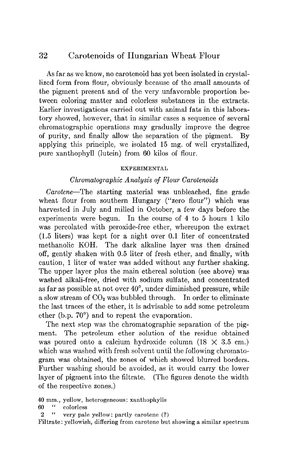## 32 Carotenoids of Hungarian Wheat Flour

As far as we know, no carotenoid has yet been isolated in crystallized form from flour, obviously because of the small amounts of the pigment present and of the very unfavorable proportion between coloring matter and colorless substances in the extracts. Earlier investigations carried out with animal fats in this laboratory showed, however, that in similar cases a sequence of several chromatographic operations may gradually improve the degree of purity, and finally allow the separation of the pigment. By applying this principle, we isolated 15 mg. of well crystallized, pure xanthophyll (lutein) from 60 kilos of flour.

#### EXPERIMENTAL

#### Chromatographic Analysis of Flour Carotenoids

Carotene-The starting material was unbleached, fine grade wheat flour from southern Hungary ("zero flour") which was harvested in July and milled in October, a few days before the experiments were begun. In the course of 4 to 5 hours 1 kilo was percolated with peroxide-free ether, whereupon the extract (1.5 liters) was kept for a night over 0.1 liter of concentrated methanolic KOH. The dark alkaline layer was then drained off, gently shaken with 0.5 liter of fresh ether, and finally, with caution, 1 liter of water was added without any further shaking. The upper layer plus the main ethereal solution (see above) was washed alkali-free, dried with sodium sulfate, and concentrated as far as possible at not over  $40^{\circ}$ , under diminished pressure, while a slow stream of  $CO<sub>2</sub>$  was bubbled through. In order to eliminate the last traces of the ether, it is advisable to add some petroleum ether (b.p. 70") and to repeat the evaporation.

The next step was the chromatographic separation of the pigment. The petroleum ether solution of the residue obtained was poured onto a calcium hydroxide column  $(18 \times 3.5 \text{ cm.})$ which was washed with fresh solvent until the following chromatogram was obtained, the zones of which showed blurred borders. Further washing should be avoided, as it would carry the lower layer of pigment into the filtrate. (The figures denote the width of the respective zones.)

- 60 " colorless
- 2 " very pale yellow: partly carotene (?)

Filtrate: yellowish, differing from carotene but showing a similar spectrum

<sup>40</sup> mm., yellow, heterogeneous: xanthophylls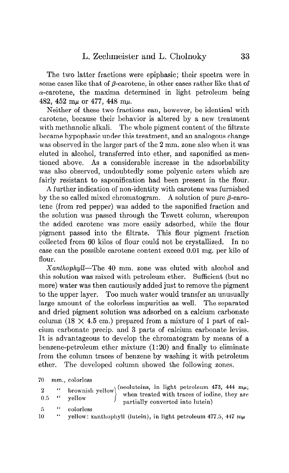## L. Zechmeister and L. Cholnoky 33

The two latter fractions were epiphasic; their spectra were in some cases like that of  $\beta$ -carotene, in other cases rather like that of  $\alpha$ -carotene, the maxima determined in light petroleum being 482, 452 m $\mu$  or 477, 448 m $\mu$ .

Neither of these two fractions can, however, be identical with carotene, because their behavior is altered by a new treatment with methanolic alkali. The whole pigment content of the filtrate became hypophasic under this treatment, and an analogous change was observed in the larger part of the 2 mm. zone also when it was eluted in alcohol, transferred into ether, and saponified as mentioned above. As a considerable increase in the adsorbability was also observed, undoubtedly some polyenic esters which are fairly resistant to saponification had been present in the flour.

A further indication of non-identity with carotene was furnished by the so called mixed chromatogram. A solution of pure  $\beta$ -carotene (from red pepper) was added to the saponified fraction and the solution was passed through the Tswett column, whereupon the added carotene was more easily adsorbed, while the flour pigment passed into the filtrate. This flour pigment fraction collected from 60 kilos of flour could not be crystallized. In no case can the possible carotene content exceed 0.01 mg. per kilo of flour.

Xanthophyll-The 40 mm. zone was eluted with alcohol and this solution was mixed with petroleum ether. Sufficient (but no more) water was then cautiously added just to remove the pigment to the upper layer. Too much water would transfer an unusually large amount of the colorless impurities as well. The separated and dried pigment solution was adsorbed on a calcium carbonate column (18  $\times$  4.5 cm.) prepared from a mixture of 1 part of calcium carbonate precip. and 3 parts of calcium carbonate leviss. It is advantageous to develop the chromatogram by means of a benzene-petroleum ether mixture (1:20) and finally to eliminate from the column traces of benzene by washing it with petroleum ether. The developed column showed the following zones.

70 mm., colorless

|    | $\cdots$ $\cdots$                                                                                    |
|----|------------------------------------------------------------------------------------------------------|
|    | 2 "brownish yellow" when treated with traces of iodine, they are<br>partially converted into lutein) |
|    | 5 "colorless"                                                                                        |
| 10 | vellow: xanthophyll (lutein), in light petroleum 477.5, 447 mu                                       |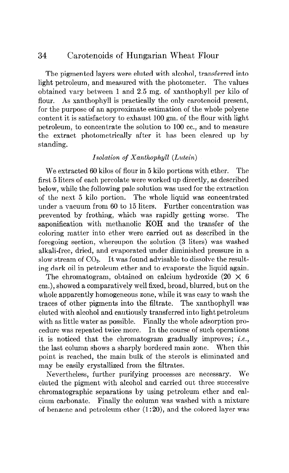# 34 Carotenoids of Hungarian Wheat Flour

The pigmented layers were eluted with alcohol, transferred into light petroleum, and measured with the photometer. The values obtained vary between 1 and 2.5 mg. of xanthophyll per kilo of flour. As xanthophyll is practically the only carotenoid present, for the purpose of an approximate estimation of the whole polyene content it is satisfactory to exhaust 100 gm. of the flour with light petroleum, to concentrate the solution to 100 cc., and to measure the extract photometrically after it has been cleared up by standing.

### Isolation of Xanthophyll (Lutein)

We extracted 60 kilos of flour in 5 kilo portions with ether. The first 5 liters of each percolate were worked up directly, as described below, while the following pale solution was used for the extraction of the next 5 kilo portion. The whole liquid was concentrated under a vacuum from 60 to 15 liters. Further concentration was prevented by frothing, which was rapidly getting worse. The saponification with methanolic KOH and the transfer of the coloring matter into ether were carried out as described in the foregoing section, whereupon the solution (3 liters) was washed alkali-free, dried, and evaporated under diminished pressure in a slow stream of  $CO<sub>2</sub>$ . It was found advisable to dissolve the resulting dark oil in petroleum ether and to evaporate the liquid again.

The chromatogram, obtained on calcium hydroxide  $(20 \times 6)$ cm.), showed a comparatively well fixed, broad, blurred, but on the whole apparently homogeneous zone, while it was easy to wash the traces of other pigments into the filtrate. The xanthophyll was eluted with alcohol and cautiously transferred into light petroleum with as little water as possible. Finally the whole adsorption procedure was repeated twice more. In the course of such operations it is noticed that the chromatogram gradually improves; *i.e.*, the last column shows a sharply bordered main zone. When this point is reached, the main bulk of the sterols is eliminated and may be easily crystallized from the filtrates.

Wevertheless, further purifying processes are necessary. We eluted the pigment with alcohol and carried out three successive chromatographic separations by using petroleum ether and calcium carbonate. Finally the column was washed with a mixture of benzene and petroleum ether  $(1:20)$ , and the colored layer was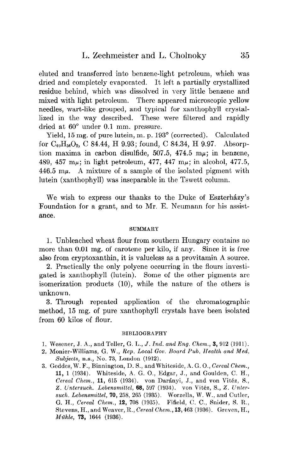eluted and transferred into benzene-light petroleum, which was dried and completely evaporated. It left a partially crystallized residue behind, which was dissolved in very little benzene and mixed with light petroleum. There appeared microscopic yellow needles, wart-like grouped, and typical for xanthophyll crystallized in the way described. These were filtered and rapidly dried at 60" under 0.1 mm. pressure.

Yield, 15 mg. of pure lutein, m. p. 193<sup>°</sup> (corrected). Calculated for  $C_{40}H_{56}O_2$ , C 84.44, H 9.93; found, C 84.34, H 9.97. Absorption maxima in carbon disulfide,  $507.5$ ,  $474.5$  m $\mu$ ; in benzene, 489, 457 m $\mu$ ; in light petroleum, 477, 447 m $\mu$ ; in alcohol, 477.5, 446.5  $m\mu$ . A mixture of a sample of the isolated pigment with lutein (xanthophyll) was inseparable in the Tswett column.

We wish to express our thanks to the Duke of Eszterházy's Foundation for a grant, and to Mr. E. Neumann for his assistance.

#### SUMMARY

1. Unbleached wheat flour from southern Hungary contains no more than 0.01 mg. of carotene per kilo, if any. Since it is free also from cryptoxanthin, it is valueless as a provitamin A source.

2. Practically the only polyene occurring in the flours investigated is xanthophyll (lutein). Some of the other pigments are isomerization products  $(10)$ , while the nature of the others is unknown.

3. Through repeated application of the chromatographic method, 15 mg. of pure xanthophyll crystals have been isolated from 60 kilos of flour.

#### BIBLIOGRAPHY

- 1. Wescner, J. A., and Teller, G. L., J. Ind. and Eng. Chem., 3, 912 (1911).
- 2. Monier-Williams, G. W., Rep. Local Gov. Board Pub. Health and Med. Subjects, n.s., Ko. 73, London (1912).
- 3. Gcddes, W. F., Binnington, D. S., and Whiteside, A. G. O., Cereal Chem., 11, 1 (1934). Whiteside, A. G. O., Edgar, J., and Goulden, C. H., Cereal Chem., 11, 615 (1934). von Darányi, J., and von Vitéz, S., Z. Untersuch. Lebensmittel, 68, 597 (1934). von Vitéz, S., Z. Untersuch. Lebensmittel, 70, 258, 265 (1935). Worzella, W. W., and Cutler, G. H., Cereal Chem., 12, 708 (1935). Fifield, C. C., Snider, S. R., Stevens, H., and Weaver, R., Cereal Chem., 13,463 (1936). Greven, H., Mühle, 73, 1644 (1936).